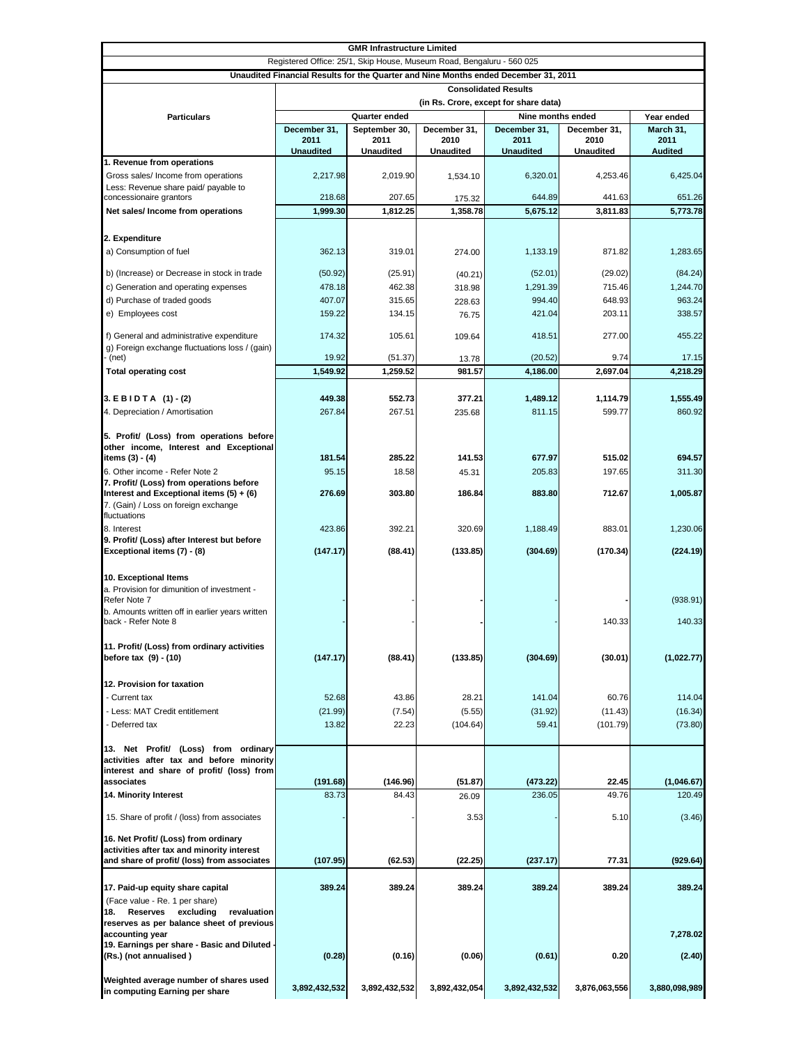| <b>GMR Infrastructure Limited</b>                                                   |                                       |                  |                  |                  |                  |                |  |
|-------------------------------------------------------------------------------------|---------------------------------------|------------------|------------------|------------------|------------------|----------------|--|
| Registered Office: 25/1, Skip House, Museum Road, Bengaluru - 560 025               |                                       |                  |                  |                  |                  |                |  |
| Unaudited Financial Results for the Quarter and Nine Months ended December 31, 2011 |                                       |                  |                  |                  |                  |                |  |
|                                                                                     | <b>Consolidated Results</b>           |                  |                  |                  |                  |                |  |
|                                                                                     | (in Rs. Crore, except for share data) |                  |                  |                  |                  |                |  |
| <b>Particulars</b>                                                                  | Quarter ended<br>Nine months ended    |                  |                  |                  |                  | Year ended     |  |
|                                                                                     | December 31,                          | September 30,    | December 31,     | December 31,     | December 31,     | March 31,      |  |
|                                                                                     | 2011                                  | 2011             | 2010             | 2011             | 2010             | 2011           |  |
| 1. Revenue from operations                                                          | <b>Unaudited</b>                      | <b>Unaudited</b> | <b>Unaudited</b> | <b>Unaudited</b> | <b>Unaudited</b> | <b>Audited</b> |  |
| Gross sales/ Income from operations                                                 | 2,217.98                              | 2.019.90         | 1,534.10         | 6,320.01         | 4,253.46         | 6,425.04       |  |
| Less: Revenue share paid/ payable to                                                |                                       |                  |                  |                  |                  |                |  |
| concessionaire grantors                                                             | 218.68                                | 207.65           | 175.32           | 644.89           | 441.63           | 651.26         |  |
| Net sales/ Income from operations                                                   | 1,999.30                              | 1,812.25         | 1,358.78         | 5,675.12         | 3,811.83         | 5,773.78       |  |
|                                                                                     |                                       |                  |                  |                  |                  |                |  |
| 2. Expenditure                                                                      |                                       |                  |                  |                  |                  |                |  |
| a) Consumption of fuel                                                              | 362.13                                | 319.01           | 274.00           | 1,133.19         | 871.82           | 1,283.65       |  |
|                                                                                     |                                       |                  |                  |                  |                  |                |  |
| b) (Increase) or Decrease in stock in trade                                         | (50.92)                               | (25.91)          | (40.21)          | (52.01)          | (29.02)          | (84.24)        |  |
| c) Generation and operating expenses                                                | 478.18                                | 462.38           | 318.98           | 1,291.39         | 715.46           | 1,244.70       |  |
| d) Purchase of traded goods                                                         | 407.07<br>159.22                      | 315.65<br>134.15 | 228.63           | 994.40           | 648.93           | 963.24         |  |
| e) Employees cost                                                                   |                                       |                  | 76.75            | 421.04           | 203.11           | 338.57         |  |
| f) General and administrative expenditure                                           | 174.32                                | 105.61           | 109.64           | 418.51           | 277.00           | 455.22         |  |
| g) Foreign exchange fluctuations loss / (gain)                                      |                                       |                  |                  |                  |                  |                |  |
| (net)                                                                               | 19.92                                 | (51.37)          | 13.78            | (20.52)          | 9.74             | 17.15          |  |
| <b>Total operating cost</b>                                                         | 1,549.92                              | 1,259.52         | 981.57           | 4,186.00         | 2,697.04         | 4,218.29       |  |
|                                                                                     |                                       |                  |                  |                  |                  |                |  |
| $3. EBIDTA (1)-(2)$                                                                 | 449.38                                | 552.73           | 377.21           | 1,489.12         | 1,114.79         | 1,555.49       |  |
| 4. Depreciation / Amortisation                                                      | 267.84                                | 267.51           | 235.68           | 811.15           | 599.77           | 860.92         |  |
|                                                                                     |                                       |                  |                  |                  |                  |                |  |
| 5. Profit/ (Loss) from operations before                                            |                                       |                  |                  |                  |                  |                |  |
| other income, Interest and Exceptional<br>items (3) - (4)                           | 181.54                                | 285.22           | 141.53           | 677.97           | 515.02           | 694.57         |  |
| 6. Other income - Refer Note 2                                                      | 95.15                                 | 18.58            |                  | 205.83           | 197.65           | 311.30         |  |
| 7. Profit/ (Loss) from operations before                                            |                                       |                  | 45.31            |                  |                  |                |  |
| Interest and Exceptional items $(5) + (6)$                                          | 276.69                                | 303.80           | 186.84           | 883.80           | 712.67           | 1,005.87       |  |
| 7. (Gain) / Loss on foreign exchange                                                |                                       |                  |                  |                  |                  |                |  |
| fluctuations                                                                        |                                       |                  |                  |                  |                  |                |  |
| 8. Interest                                                                         | 423.86                                | 392.21           | 320.69           | 1,188.49         | 883.01           | 1,230.06       |  |
| 9. Profit/ (Loss) after Interest but before                                         |                                       |                  |                  |                  |                  |                |  |
| Exceptional items (7) - (8)                                                         | (147.17)                              | (88.41)          | (133.85)         | (304.69)         | (170.34)         | (224.19)       |  |
|                                                                                     |                                       |                  |                  |                  |                  |                |  |
| 10. Exceptional Items<br>a. Provision for dimunition of investment -                |                                       |                  |                  |                  |                  |                |  |
| Refer Note 7                                                                        |                                       |                  |                  |                  |                  | (938.91)       |  |
| b. Amounts written off in earlier years written                                     |                                       |                  |                  |                  |                  |                |  |
| back - Refer Note 8                                                                 |                                       |                  |                  |                  | 140.33           | 140.33         |  |
|                                                                                     |                                       |                  |                  |                  |                  |                |  |
| 11. Profit/ (Loss) from ordinary activities                                         |                                       |                  |                  |                  |                  |                |  |
| before tax (9) - (10)                                                               | (147.17)                              | (88.41)          | (133.85)         | (304.69)         | (30.01)          | (1,022.77)     |  |
|                                                                                     |                                       |                  |                  |                  |                  |                |  |
| 12. Provision for taxation                                                          |                                       |                  |                  |                  |                  |                |  |
| - Current tax                                                                       | 52.68                                 | 43.86            | 28.21            | 141.04           | 60.76            | 114.04         |  |
| - Less: MAT Credit entitlement                                                      | (21.99)                               | (7.54)           | (5.55)           | (31.92)          | (11.43)          | (16.34)        |  |
| - Deferred tax                                                                      | 13.82                                 | 22.23            | (104.64)         | 59.41            | (101.79)         | (73.80)        |  |
| 13. Net Profit/ (Loss) from ordinary                                                |                                       |                  |                  |                  |                  |                |  |
| activities after tax and before minority                                            |                                       |                  |                  |                  |                  |                |  |
| interest and share of profit/ (loss) from                                           |                                       |                  |                  |                  |                  |                |  |
| associates                                                                          | (191.68)                              | (146.96)         | (51.87)          | (473.22)         | 22.45            | (1,046.67)     |  |
| 14. Minority Interest                                                               | 83.73                                 | 84.43            | 26.09            | 236.05           | 49.76            | 120.49         |  |
|                                                                                     |                                       |                  |                  |                  |                  |                |  |
| 15. Share of profit / (loss) from associates                                        |                                       |                  | 3.53             |                  | 5.10             | (3.46)         |  |
| 16. Net Profit/ (Loss) from ordinary                                                |                                       |                  |                  |                  |                  |                |  |
| activities after tax and minority interest                                          |                                       |                  |                  |                  |                  |                |  |
| and share of profit/ (loss) from associates                                         | (107.95)                              | (62.53)          | (22.25)          | (237.17)         | 77.31            | (929.64)       |  |
|                                                                                     |                                       |                  |                  |                  |                  |                |  |
| 17. Paid-up equity share capital                                                    | 389.24                                | 389.24           | 389.24           | 389.24           | 389.24           | 389.24         |  |
| (Face value - Re. 1 per share)                                                      |                                       |                  |                  |                  |                  |                |  |
| excluding<br>18.<br>Reserves<br>revaluation                                         |                                       |                  |                  |                  |                  |                |  |
| reserves as per balance sheet of previous                                           |                                       |                  |                  |                  |                  |                |  |
| accounting year<br>19. Earnings per share - Basic and Diluted                       |                                       |                  |                  |                  |                  | 7,278.02       |  |
| (Rs.) (not annualised)                                                              | (0.28)                                | (0.16)           | (0.06)           | (0.61)           | 0.20             | (2.40)         |  |
|                                                                                     |                                       |                  |                  |                  |                  |                |  |
| Weighted average number of shares used                                              |                                       |                  |                  |                  |                  |                |  |
| in computing Earning per share                                                      | 3,892,432,532                         | 3,892,432,532    | 3,892,432,054    | 3,892,432,532    | 3,876,063,556    | 3,880,098,989  |  |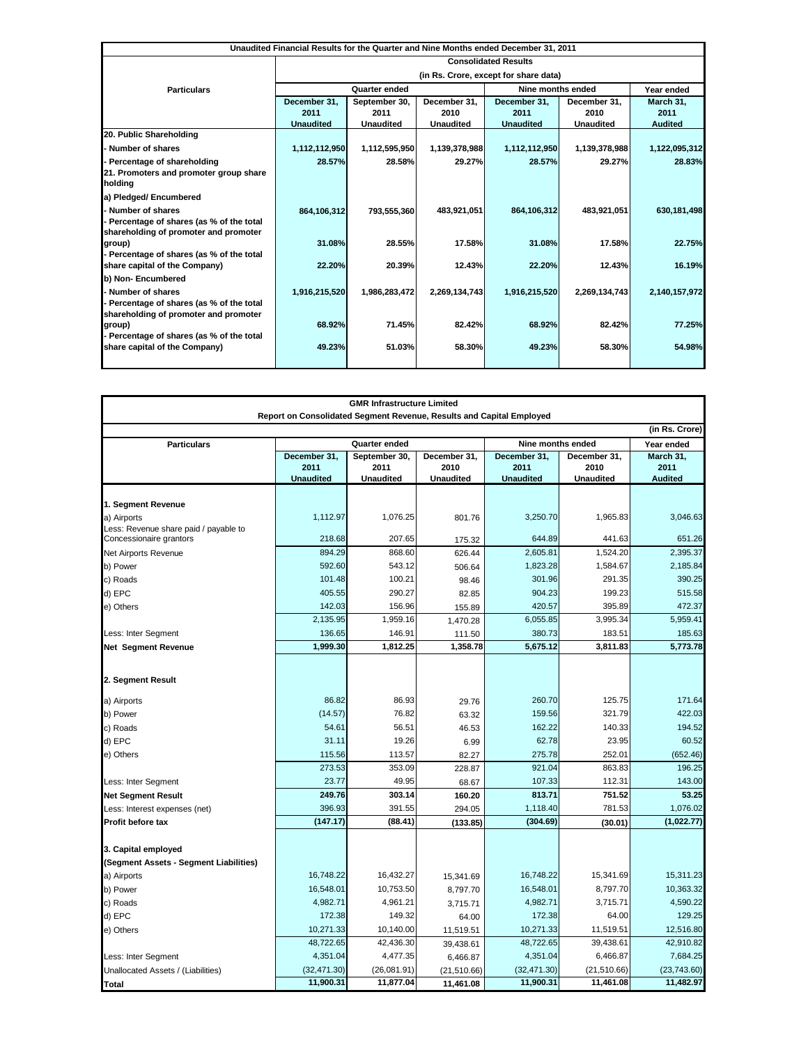| Unaudited Financial Results for the Quarter and Nine Months ended December 31, 2011 |                                       |                  |                  |                   |                  |                |
|-------------------------------------------------------------------------------------|---------------------------------------|------------------|------------------|-------------------|------------------|----------------|
|                                                                                     | <b>Consolidated Results</b>           |                  |                  |                   |                  |                |
|                                                                                     | (in Rs. Crore, except for share data) |                  |                  |                   |                  |                |
| <b>Particulars</b>                                                                  | Quarter ended                         |                  |                  | Nine months ended |                  | Year ended     |
|                                                                                     | December 31,                          | September 30,    | December 31,     | December 31,      | December 31,     | March 31,      |
|                                                                                     | 2011                                  | 2011             | 2010             | 2011              | 2010             | 2011           |
|                                                                                     | <b>Unaudited</b>                      | <b>Unaudited</b> | <b>Unaudited</b> | <b>Unaudited</b>  | <b>Unaudited</b> | <b>Audited</b> |
| 20. Public Shareholding                                                             |                                       |                  |                  |                   |                  |                |
| Number of shares                                                                    | 1,112,112,950                         | 1,112,595,950    | 1,139,378,988    | 1,112,112,950     | 1,139,378,988    | 1,122,095,312  |
| Percentage of shareholding                                                          | 28.57%                                | 28.58%           | 29.27%           | 28.57%            | 29.27%           | 28.83%         |
| 21. Promoters and promoter group share                                              |                                       |                  |                  |                   |                  |                |
| holding                                                                             |                                       |                  |                  |                   |                  |                |
| a) Pledged/ Encumbered                                                              |                                       |                  |                  |                   |                  |                |
| Number of shares                                                                    | 864,106,312                           | 793,555,360      | 483,921,051      | 864,106,312       | 483,921,051      | 630,181,498    |
| Percentage of shares (as % of the total                                             |                                       |                  |                  |                   |                  |                |
| shareholding of promoter and promoter                                               |                                       |                  |                  |                   |                  |                |
| group)                                                                              | 31.08%                                | 28.55%           | 17.58%           | 31.08%            | 17.58%           | 22.75%         |
| Percentage of shares (as % of the total                                             |                                       |                  |                  |                   |                  |                |
| share capital of the Company)                                                       | 22.20%                                | 20.39%           | 12.43%           | 22.20%            | 12.43%           | 16.19%         |
| b) Non- Encumbered                                                                  |                                       |                  |                  |                   |                  |                |
| Number of shares                                                                    | 1,916,215,520                         | 1,986,283,472    | 2,269,134,743    | 1,916,215,520     | 2,269,134,743    | 2,140,157,972  |
| Percentage of shares (as % of the total                                             |                                       |                  |                  |                   |                  |                |
| shareholding of promoter and promoter                                               |                                       |                  |                  |                   |                  |                |
| group)                                                                              | 68.92%                                | 71.45%           | 82.42%           | 68.92%            | 82.42%           | 77.25%         |
| Percentage of shares (as % of the total                                             |                                       |                  |                  |                   |                  |                |
| share capital of the Company)                                                       | 49.23%                                | 51.03%           | 58.30%           | 49.23%            | 58.30%           | 54.98%         |
|                                                                                     |                                       |                  |                  |                   |                  |                |

| <b>GMR Infrastructure Limited</b><br>Report on Consolidated Segment Revenue, Results and Capital Employed |                                          |                                           |                                          |                                          |                                          |                                     |
|-----------------------------------------------------------------------------------------------------------|------------------------------------------|-------------------------------------------|------------------------------------------|------------------------------------------|------------------------------------------|-------------------------------------|
|                                                                                                           |                                          |                                           |                                          |                                          |                                          | (in Rs. Crore)                      |
| <b>Particulars</b>                                                                                        | Quarter ended<br>Nine months ended       |                                           |                                          |                                          |                                          | Year ended                          |
|                                                                                                           | December 31,<br>2011<br><b>Unaudited</b> | September 30,<br>2011<br><b>Unaudited</b> | December 31,<br>2010<br><b>Unaudited</b> | December 31.<br>2011<br><b>Unaudited</b> | December 31,<br>2010<br><b>Unaudited</b> | March 31,<br>2011<br><b>Audited</b> |
|                                                                                                           |                                          |                                           |                                          |                                          |                                          |                                     |
| 1. Segment Revenue                                                                                        |                                          |                                           |                                          |                                          |                                          |                                     |
| a) Airports<br>Less: Revenue share paid / payable to                                                      | 1,112.97                                 | 1,076.25                                  | 801.76                                   | 3.250.70                                 | 1,965.83                                 | 3,046.63                            |
| Concessionaire grantors                                                                                   | 218.68                                   | 207.65                                    | 175.32                                   | 644.89                                   | 441.63                                   | 651.26                              |
| Net Airports Revenue                                                                                      | 894.29                                   | 868.60                                    | 626.44                                   | 2,605.81                                 | 1,524.20                                 | 2,395.37                            |
| b) Power                                                                                                  | 592.60                                   | 543.12                                    | 506.64                                   | 1,823.28                                 | 1,584.67                                 | 2,185.84                            |
| c) Roads                                                                                                  | 101.48                                   | 100.21                                    | 98.46                                    | 301.96                                   | 291.35                                   | 390.25                              |
| d) EPC                                                                                                    | 405.55                                   | 290.27                                    | 82.85                                    | 904.23                                   | 199.23                                   | 515.58                              |
| e) Others                                                                                                 | 142.03                                   | 156.96                                    | 155.89                                   | 420.57                                   | 395.89                                   | 472.37                              |
|                                                                                                           | 2,135.95                                 | 1,959.16                                  | 1,470.28                                 | 6,055.85                                 | 3,995.34                                 | 5,959.41                            |
| Less: Inter Segment                                                                                       | 136.65                                   | 146.91                                    | 111.50                                   | 380.73                                   | 183.51                                   | 185.63                              |
| <b>Net Segment Revenue</b>                                                                                | 1,999.30                                 | 1,812.25                                  | 1,358.78                                 | 5,675.12                                 | 3,811.83                                 | 5,773.78                            |
|                                                                                                           |                                          |                                           |                                          |                                          |                                          |                                     |
| 2. Segment Result                                                                                         |                                          |                                           |                                          |                                          |                                          |                                     |
| a) Airports                                                                                               | 86.82                                    | 86.93                                     | 29.76                                    | 260.70                                   | 125.75                                   | 171.64                              |
| b) Power                                                                                                  | (14.57)                                  | 76.82                                     | 63.32                                    | 159.56                                   | 321.79                                   | 422.03                              |
| c) Roads                                                                                                  | 54.61                                    | 56.51                                     | 46.53                                    | 162.22                                   | 140.33                                   | 194.52                              |
| d) EPC                                                                                                    | 31.11                                    | 19.26                                     | 6.99                                     | 62.78                                    | 23.95                                    | 60.52                               |
| e) Others                                                                                                 | 115.56                                   | 113.57                                    | 82.27                                    | 275.78                                   | 252.01                                   | (652.46)                            |
|                                                                                                           | 273.53                                   | 353.09                                    | 228.87                                   | 921.04                                   | 863.83                                   | 196.25                              |
| Less: Inter Segment                                                                                       | 23.77                                    | 49.95                                     | 68.67                                    | 107.33                                   | 112.31                                   | 143.00                              |
| <b>Net Segment Result</b>                                                                                 | 249.76                                   | 303.14                                    | 160.20                                   | 813.71                                   | 751.52                                   | 53.25                               |
| Less: Interest expenses (net)                                                                             | 396.93                                   | 391.55                                    | 294.05                                   | 1,118.40                                 | 781.53                                   | 1,076.02                            |
| Profit before tax                                                                                         | (147.17)                                 | (88.41)                                   | (133.85)                                 | (304.69)                                 | (30.01)                                  | (1,022.77)                          |
|                                                                                                           |                                          |                                           |                                          |                                          |                                          |                                     |
| 3. Capital employed                                                                                       |                                          |                                           |                                          |                                          |                                          |                                     |
| (Segment Assets - Segment Liabilities)                                                                    |                                          |                                           |                                          |                                          |                                          |                                     |
| a) Airports                                                                                               | 16,748.22                                | 16,432.27                                 | 15,341.69                                | 16,748.22                                | 15,341.69                                | 15,311.23                           |
| b) Power                                                                                                  | 16,548.01                                | 10,753.50                                 | 8,797.70                                 | 16,548.01                                | 8,797.70                                 | 10,363.32                           |
| c) Roads                                                                                                  | 4,982.71                                 | 4,961.21                                  | 3,715.71                                 | 4,982.71                                 | 3,715.71                                 | 4,590.22                            |
| d) EPC                                                                                                    | 172.38                                   | 149.32                                    | 64.00                                    | 172.38                                   | 64.00                                    | 129.25                              |
| e) Others                                                                                                 | 10,271.33                                | 10,140.00                                 | 11,519.51                                | 10,271.33                                | 11,519.51                                | 12,516.80                           |
|                                                                                                           | 48,722.65                                | 42,436.30                                 | 39,438.61                                | 48,722.65                                | 39,438.61                                | 42,910.82                           |
| Less: Inter Segment                                                                                       | 4,351.04                                 | 4,477.35                                  | 6,466.87                                 | 4,351.04                                 | 6,466.87                                 | 7,684.25                            |
| Unallocated Assets / (Liabilities)                                                                        | (32, 471.30)                             | (26,081.91)                               | (21, 510.66)                             | (32, 471.30)                             | (21,510.66)                              | (23,743.60)                         |
| <b>Total</b>                                                                                              | 11,900.31                                | 11,877.04                                 | 11,461.08                                | 11,900.31                                | 11,461.08                                | 11,482.97                           |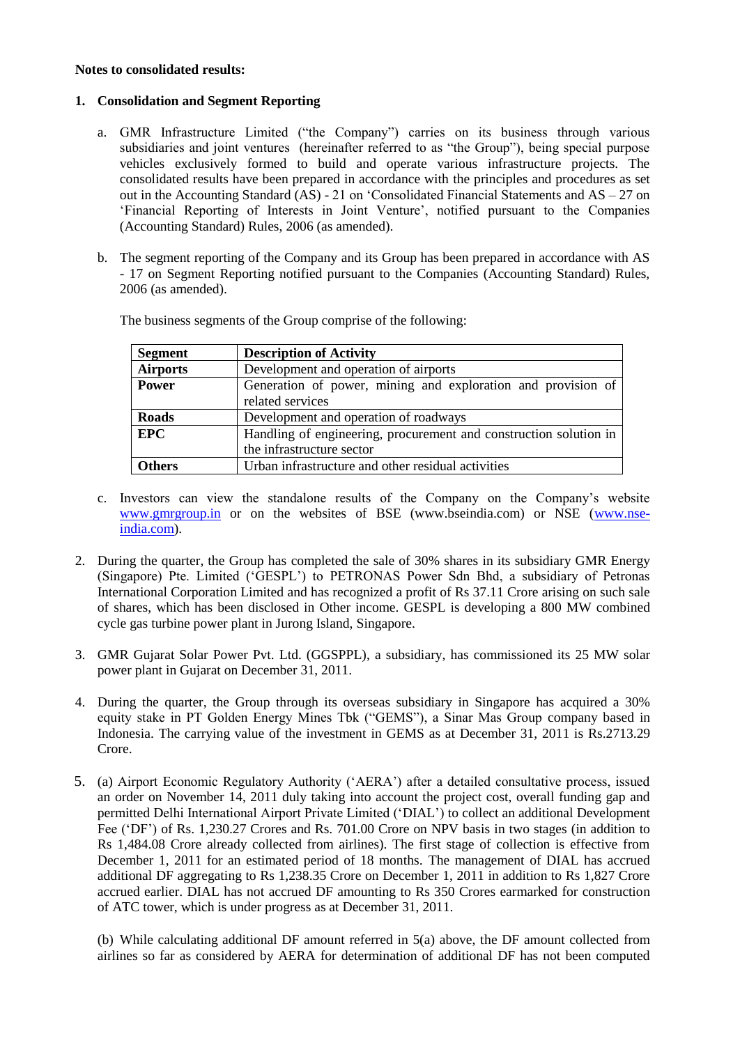### **Notes to consolidated results:**

## **1. Consolidation and Segment Reporting**

- a. GMR Infrastructure Limited ("the Company") carries on its business through various subsidiaries and joint ventures (hereinafter referred to as "the Group"), being special purpose vehicles exclusively formed to build and operate various infrastructure projects. The consolidated results have been prepared in accordance with the principles and procedures as set out in the Accounting Standard (AS) - 21 on "Consolidated Financial Statements and AS – 27 on "Financial Reporting of Interests in Joint Venture", notified pursuant to the Companies (Accounting Standard) Rules, 2006 (as amended).
- b. The segment reporting of the Company and its Group has been prepared in accordance with AS - 17 on Segment Reporting notified pursuant to the Companies (Accounting Standard) Rules, 2006 (as amended).

| <b>Segment</b>  | <b>Description of Activity</b>                                    |
|-----------------|-------------------------------------------------------------------|
| <b>Airports</b> | Development and operation of airports                             |
| <b>Power</b>    | Generation of power, mining and exploration and provision of      |
|                 | related services                                                  |
| <b>Roads</b>    | Development and operation of roadways                             |
| <b>EPC</b>      | Handling of engineering, procurement and construction solution in |
|                 | the infrastructure sector                                         |
| <b>Others</b>   | Urban infrastructure and other residual activities                |
|                 |                                                                   |

The business segments of the Group comprise of the following:

- c. Investors can view the standalone results of the Company on the Company"s website [www.gmrgroup.in](http://www.gmrgroup.in/) or on the websites of BSE (www.bseindia.com) or NSE [\(www.nse](http://www.nse-india.com/)[india.com\)](http://www.nse-india.com/).
- 2. During the quarter, the Group has completed the sale of 30% shares in its subsidiary GMR Energy (Singapore) Pte. Limited ("GESPL") to PETRONAS Power Sdn Bhd, a subsidiary of Petronas International Corporation Limited and has recognized a profit of Rs 37.11 Crore arising on such sale of shares, which has been disclosed in Other income. GESPL is developing a 800 MW combined cycle gas turbine power plant in Jurong Island, Singapore.
- 3. GMR Gujarat Solar Power Pvt. Ltd. (GGSPPL), a subsidiary, has commissioned its 25 MW solar power plant in Gujarat on December 31, 2011.
- 4. During the quarter, the Group through its overseas subsidiary in Singapore has acquired a 30% equity stake in PT Golden Energy Mines Tbk ("GEMS"), a Sinar Mas Group company based in Indonesia. The carrying value of the investment in GEMS as at December 31, 2011 is Rs.2713.29 Crore.
- 5. (a) Airport Economic Regulatory Authority ("AERA") after a detailed consultative process, issued an order on November 14, 2011 duly taking into account the project cost, overall funding gap and permitted Delhi International Airport Private Limited ("DIAL") to collect an additional Development Fee ("DF") of Rs. 1,230.27 Crores and Rs. 701.00 Crore on NPV basis in two stages (in addition to Rs 1,484.08 Crore already collected from airlines). The first stage of collection is effective from December 1, 2011 for an estimated period of 18 months. The management of DIAL has accrued additional DF aggregating to Rs 1,238.35 Crore on December 1, 2011 in addition to Rs 1,827 Crore accrued earlier. DIAL has not accrued DF amounting to Rs 350 Crores earmarked for construction of ATC tower, which is under progress as at December 31, 2011.

(b) While calculating additional DF amount referred in 5(a) above, the DF amount collected from airlines so far as considered by AERA for determination of additional DF has not been computed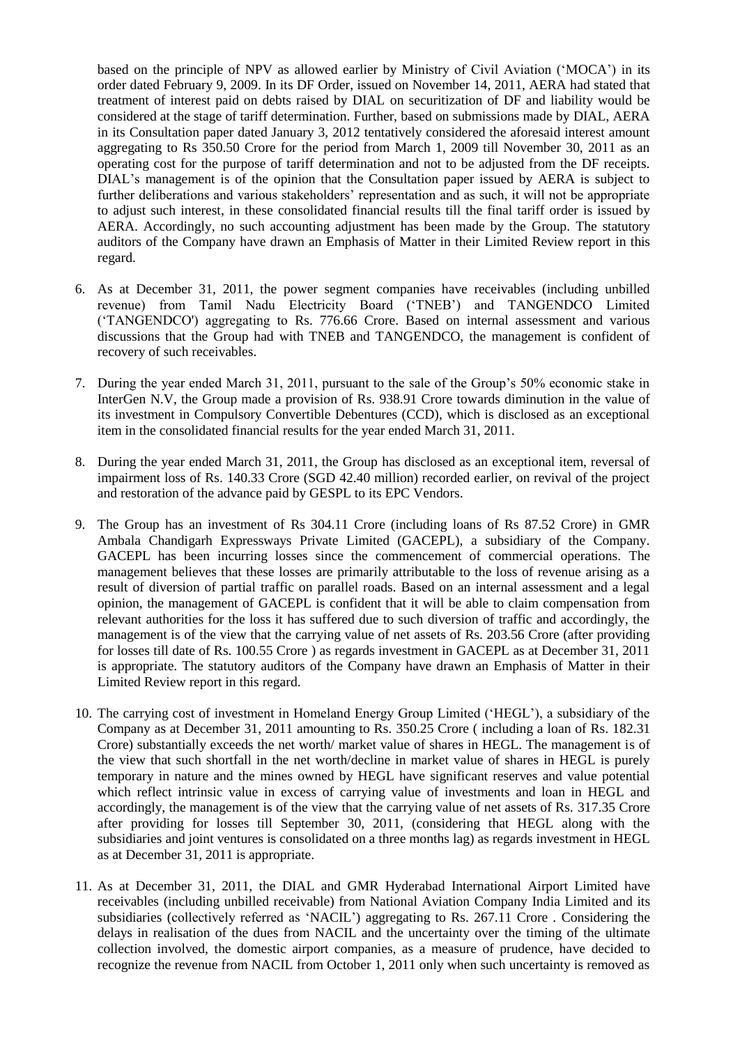based on the principle of NPV as allowed earlier by Ministry of Civil Aviation ("MOCA") in its order dated February 9, 2009. In its DF Order, issued on November 14, 2011, AERA had stated that treatment of interest paid on debts raised by DIAL on securitization of DF and liability would be considered at the stage of tariff determination. Further, based on submissions made by DIAL, AERA in its Consultation paper dated January 3, 2012 tentatively considered the aforesaid interest amount aggregating to Rs 350.50 Crore for the period from March 1, 2009 till November 30, 2011 as an operating cost for the purpose of tariff determination and not to be adjusted from the DF receipts. DIAL"s management is of the opinion that the Consultation paper issued by AERA is subject to further deliberations and various stakeholders' representation and as such, it will not be appropriate to adjust such interest, in these consolidated financial results till the final tariff order is issued by AERA. Accordingly, no such accounting adjustment has been made by the Group. The statutory auditors of the Company have drawn an Emphasis of Matter in their Limited Review report in this regard.

- 6. As at December 31, 2011, the power segment companies have receivables (including unbilled revenue) from Tamil Nadu Electricity Board ("TNEB") and TANGENDCO Limited ("TANGENDCO') aggregating to Rs. 776.66 Crore. Based on internal assessment and various discussions that the Group had with TNEB and TANGENDCO, the management is confident of recovery of such receivables.
- 7. During the year ended March 31, 2011, pursuant to the sale of the Group"s 50% economic stake in InterGen N.V, the Group made a provision of Rs. 938.91 Crore towards diminution in the value of its investment in Compulsory Convertible Debentures (CCD), which is disclosed as an exceptional item in the consolidated financial results for the year ended March 31, 2011.
- 8. During the year ended March 31, 2011, the Group has disclosed as an exceptional item, reversal of impairment loss of Rs. 140.33 Crore (SGD 42.40 million) recorded earlier, on revival of the project and restoration of the advance paid by GESPL to its EPC Vendors.
- 9. The Group has an investment of Rs 304.11 Crore (including loans of Rs 87.52 Crore) in GMR Ambala Chandigarh Expressways Private Limited (GACEPL), a subsidiary of the Company. GACEPL has been incurring losses since the commencement of commercial operations. The management believes that these losses are primarily attributable to the loss of revenue arising as a result of diversion of partial traffic on parallel roads. Based on an internal assessment and a legal opinion, the management of GACEPL is confident that it will be able to claim compensation from relevant authorities for the loss it has suffered due to such diversion of traffic and accordingly, the management is of the view that the carrying value of net assets of Rs. 203.56 Crore (after providing for losses till date of Rs. 100.55 Crore ) as regards investment in GACEPL as at December 31, 2011 is appropriate. The statutory auditors of the Company have drawn an Emphasis of Matter in their Limited Review report in this regard.
- 10. The carrying cost of investment in Homeland Energy Group Limited ("HEGL"), a subsidiary of the Company as at December 31, 2011 amounting to Rs. 350.25 Crore ( including a loan of Rs. 182.31 Crore) substantially exceeds the net worth/ market value of shares in HEGL. The management is of the view that such shortfall in the net worth/decline in market value of shares in HEGL is purely temporary in nature and the mines owned by HEGL have significant reserves and value potential which reflect intrinsic value in excess of carrying value of investments and loan in HEGL and accordingly, the management is of the view that the carrying value of net assets of Rs. 317.35 Crore after providing for losses till September 30, 2011, (considering that HEGL along with the subsidiaries and joint ventures is consolidated on a three months lag) as regards investment in HEGL as at December 31, 2011 is appropriate.
- 11. As at December 31, 2011, the DIAL and GMR Hyderabad International Airport Limited have receivables (including unbilled receivable) from National Aviation Company India Limited and its subsidiaries (collectively referred as "NACIL") aggregating to Rs. 267.11 Crore . Considering the delays in realisation of the dues from NACIL and the uncertainty over the timing of the ultimate collection involved, the domestic airport companies, as a measure of prudence, have decided to recognize the revenue from NACIL from October 1, 2011 only when such uncertainty is removed as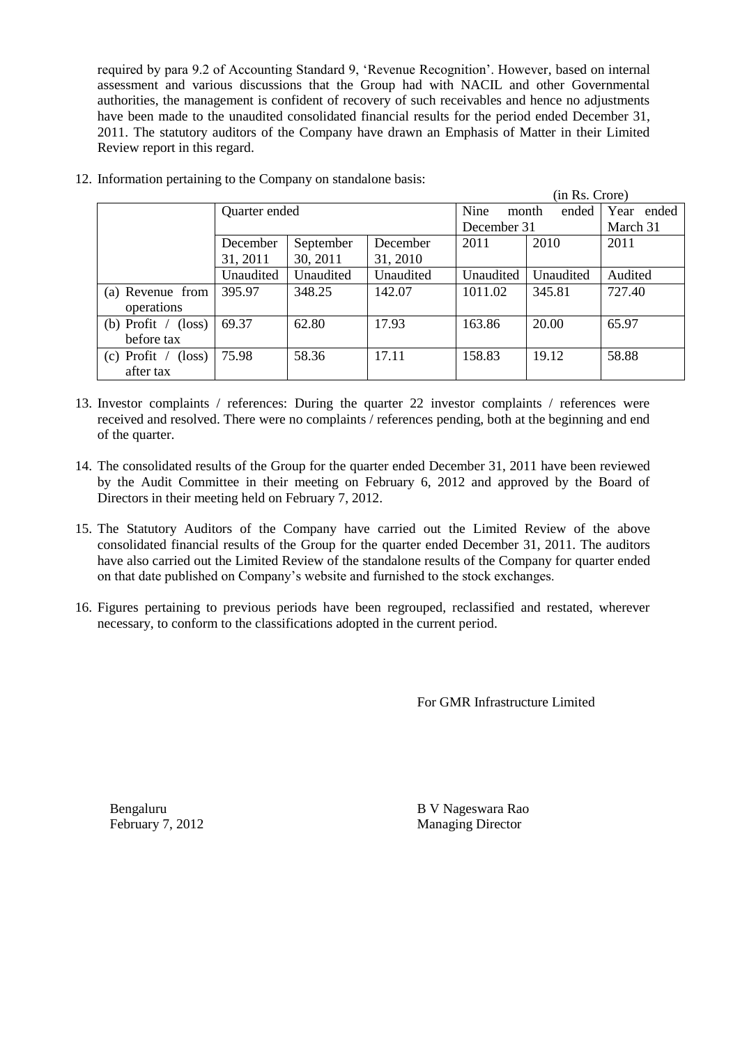required by para 9.2 of Accounting Standard 9, "Revenue Recognition". However, based on internal assessment and various discussions that the Group had with NACIL and other Governmental authorities, the management is confident of recovery of such receivables and hence no adjustments have been made to the unaudited consolidated financial results for the period ended December 31, 2011. The statutory auditors of the Company have drawn an Emphasis of Matter in their Limited Review report in this regard.

|                                              | (in Rs. Crore) |           |           |               |           |            |
|----------------------------------------------|----------------|-----------|-----------|---------------|-----------|------------|
|                                              | Quarter ended  |           |           | Nine<br>month | ended     | Year ended |
|                                              |                |           |           | December 31   | March 31  |            |
|                                              | December       | September | December  | 2011          | 2010      | 2011       |
|                                              | 31, 2011       | 30, 2011  | 31, 2010  |               |           |            |
|                                              | Unaudited      | Unaudited | Unaudited | Unaudited     | Unaudited | Audited    |
| (a) Revenue from                             | 395.97         | 348.25    | 142.07    | 1011.02       | 345.81    | 727.40     |
| operations                                   |                |           |           |               |           |            |
| (b) Profit $\overline{ }$<br>$(\text{loss})$ | 69.37          | 62.80     | 17.93     | 163.86        | 20.00     | 65.97      |
| before tax                                   |                |           |           |               |           |            |
| $(c)$ Profit /<br>$(\text{loss})$            | 75.98          | 58.36     | 17.11     | 158.83        | 19.12     | 58.88      |
| after tax                                    |                |           |           |               |           |            |

12. Information pertaining to the Company on standalone basis:

- 13. Investor complaints / references: During the quarter 22 investor complaints / references were received and resolved. There were no complaints / references pending, both at the beginning and end of the quarter.
- 14. The consolidated results of the Group for the quarter ended December 31, 2011 have been reviewed by the Audit Committee in their meeting on February 6, 2012 and approved by the Board of Directors in their meeting held on February 7, 2012.
- 15. The Statutory Auditors of the Company have carried out the Limited Review of the above consolidated financial results of the Group for the quarter ended December 31, 2011. The auditors have also carried out the Limited Review of the standalone results of the Company for quarter ended on that date published on Company"s website and furnished to the stock exchanges.
- 16. Figures pertaining to previous periods have been regrouped, reclassified and restated, wherever necessary, to conform to the classifications adopted in the current period.

For GMR Infrastructure Limited

Bengaluru B V Nageswara Rao February 7, 2012 Managing Director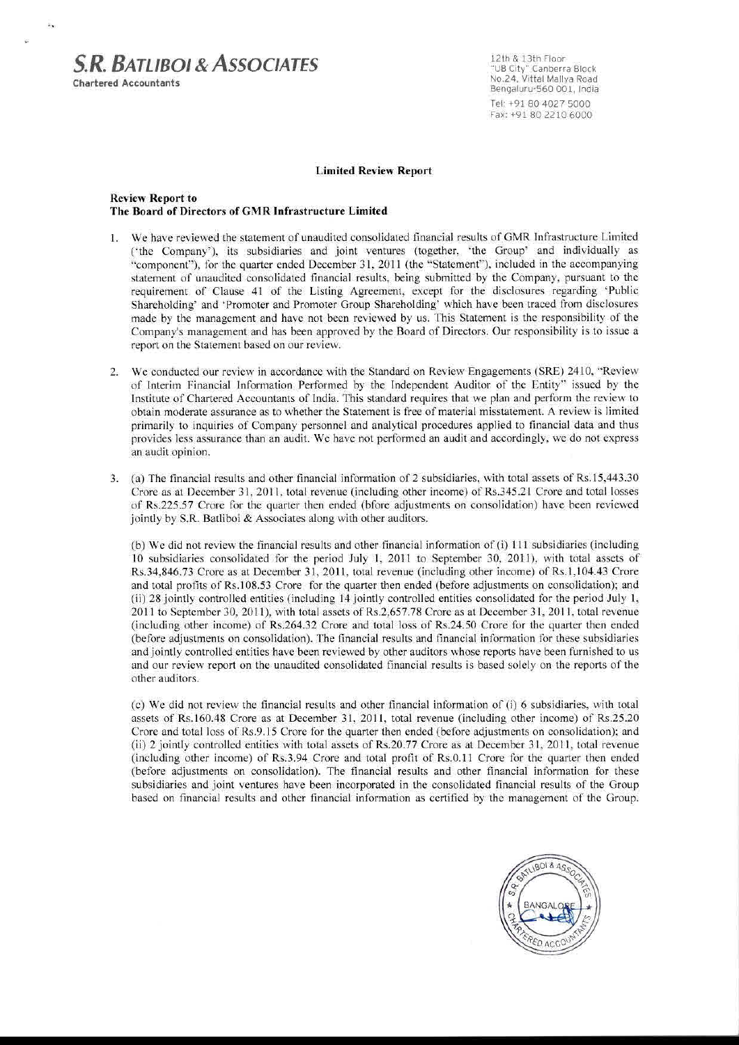# **S.R. BATLIBOL& ASSOCIATES**

**Chartered Accountants** 

k.

12th & 13th Floor "UB City" Canberra Block<br>No.24, Vittal Mallya Road Bengaluru-560 001, India Tel: +91 80 4027 5000 Fax: +91 80 2210 6000

#### **Limited Review Report**

#### **Review Report to** The Board of Directors of GMR Infrastructure Limited

- 1. We have reviewed the statement of unaudited consolidated financial results of GMR Infrastructure Limited ('the Company'), its subsidiaries and joint ventures (together, 'the Group' and individually as "component"), for the quarter ended December 31, 2011 (the "Statement"), included in the accompanying statement of unaudited consolidated financial results, being submitted by the Company, pursuant to the requirement of Clause 41 of the Listing Agreement, except for the disclosures regarding 'Public Shareholding' and 'Promoter and Promoter Group Shareholding' which have been traced from disclosures made by the management and have not been reviewed by us. This Statement is the responsibility of the Company's management and has been approved by the Board of Directors. Our responsibility is to issue a report on the Statement based on our review.
- 2. We conducted our review in accordance with the Standard on Review Engagements (SRE) 2410, "Review of Interim Financial Information Performed by the Independent Auditor of the Entity" issued by the Institute of Chartered Accountants of India. This standard requires that we plan and perform the review to obtain moderate assurance as to whether the Statement is free of material misstatement. A review is limited primarily to inquiries of Company personnel and analytical procedures applied to financial data and thus provides less assurance than an audit. We have not performed an audit and accordingly, we do not express an audit opinion.
- 3. (a) The financial results and other financial information of 2 subsidiaries, with total assets of Rs.15,443.30 Crore as at December 31, 2011, total revenue (including other income) of Rs.345.21 Crore and total losses of Rs.225.57 Crore for the quarter then ended (bfore adjustments on consolidation) have been reviewed jointly by S.R. Batliboi & Associates along with other auditors.

(b) We did not review the financial results and other financial information of (i) 111 subsidiaries (including 10 subsidiaries consolidated for the period July 1, 2011 to September 30, 2011), with total assets of Rs.34,846.73 Crore as at December 31, 2011, total revenue (including other income) of Rs.1,104.43 Crore and total profits of Rs.108.53 Crore for the quarter then ended (before adjustments on consolidation); and (ii) 28 jointly controlled entities (including 14 jointly controlled entities consolidated for the period July 1, 2011 to September 30, 2011), with total assets of Rs.2,657.78 Crore as at December 31, 2011, total revenue (including other income) of Rs.264.32 Crore and total loss of Rs.24.50 Crore for the quarter then ended (before adjustments on consolidation). The financial results and financial information for these subsidiaries and jointly controlled entities have been reviewed by other auditors whose reports have been furnished to us and our review report on the unaudited consolidated financial results is based solely on the reports of the other auditors.

(c) We did not review the financial results and other financial information of (i) 6 subsidiaries, with total assets of Rs.160.48 Crore as at December 31, 2011, total revenue (including other income) of Rs.25.20 Crore and total loss of Rs.9.15 Crore for the quarter then ended (before adjustments on consolidation); and (ii) 2 jointly controlled entities with total assets of Rs.20.77 Crore as at December 31, 2011, total revenue (including other income) of Rs.3.94 Crore and total profit of Rs.0.11 Crore for the quarter then ended (before adjustments on consolidation). The financial results and other financial information for these subsidiaries and joint ventures have been incorporated in the consolidated financial results of the Group based on financial results and other financial information as certified by the management of the Group.